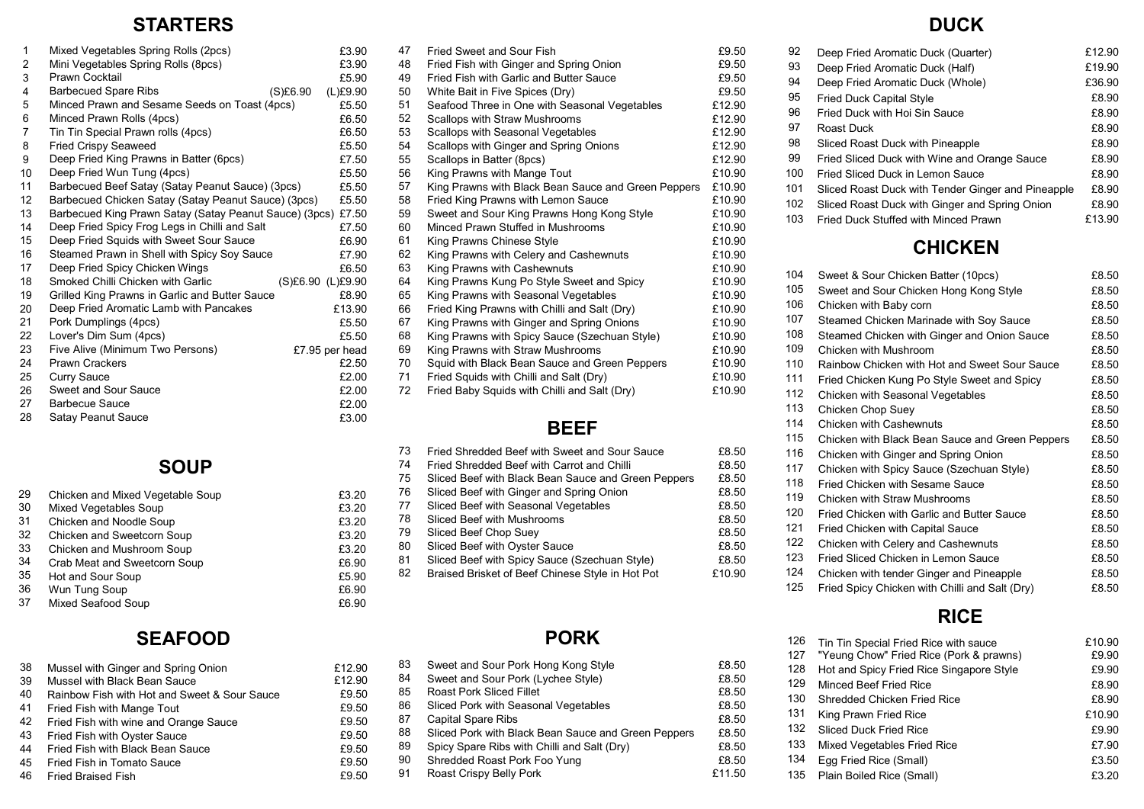#### **STARTERS**

| 1              | Mixed Vegetables Spring Rolls (2pcs)                   | £3.90             |
|----------------|--------------------------------------------------------|-------------------|
| $\overline{2}$ | Mini Vegetables Spring Rolls (8pcs)                    | £3.90             |
| 3              | Prawn Cocktail                                         | £5.90             |
| 4              | <b>Barbecued Spare Ribs</b><br>(S)£6.90                | (L)£9.90          |
| 5              | Minced Prawn and Sesame Seeds on Toast (4pcs)          | £5.50             |
| 6              | Minced Prawn Rolls (4pcs)                              | £6.50             |
| $\overline{7}$ | Tin Tin Special Prawn rolls (4pcs)                     | £6.50             |
| 8              | <b>Fried Crispy Seaweed</b>                            | £5.50             |
| 9              | Deep Fried King Prawns in Batter (6pcs)                | £7.50             |
| 10             | Deep Fried Wun Tung (4pcs)                             | £5.50             |
| 11             | Barbecued Beef Satay (Satay Peanut Sauce) (3pcs)       | £5.50             |
| 12             | Barbecued Chicken Satay (Satay Peanut Sauce) (3pcs)    | £5.50             |
| 13             | Barbecued King Prawn Satay (Satay Peanut Sauce) (3pcs) | £7.50             |
| 14             | Deep Fried Spicy Frog Legs in Chilli and Salt          | £7.50             |
| 15             | Deep Fried Squids with Sweet Sour Sauce                | £6.90             |
| 16             | Steamed Prawn in Shell with Spicy Soy Sauce            | £7.90             |
| 17             | Deep Fried Spicy Chicken Wings                         | £6.50             |
| 18             | Smoked Chilli Chicken with Garlic                      | (S)£6.90 (L)£9.90 |
| 19             | Grilled King Prawns in Garlic and Butter Sauce         | £8.90             |
| 20             | Deep Fried Aromatic Lamb with Pancakes                 | £13.90            |
| 21             | Pork Dumplings (4pcs)                                  | £5.50             |
| 22             | Lover's Dim Sum (4pcs)                                 | £5.50             |
| 23             | Five Alive (Minimum Two Persons)                       | £7.95 per head    |
| 24             | <b>Prawn Crackers</b>                                  | £2.50             |
| 25             | <b>Curry Sauce</b>                                     | £2.00             |
| 26             | Sweet and Sour Sauce                                   | £2.00             |
| 27             | <b>Barbecue Sauce</b>                                  | £2.00             |
| 28             | Satay Peanut Sauce                                     | £3.00             |

### **SOUP**

£3.20 £3.20 £3.20 £3.20 £3.20 £6.90 £5.90 £6.90 £6.90

£12.90 £12.90 £9.50 £9.50 £9.50 £9.50 £9.50 £9.50 £9.50

| 29 | Chicken and Mixed Vegetable Soup |
|----|----------------------------------|
| 30 | Mixed Vegetables Soup            |
| 31 | Chicken and Noodle Soup          |
| 32 | Chicken and Sweetcorn Soup       |
| 33 | Chicken and Mushroom Soup        |
| 34 | Crab Meat and Sweetcorn Soup     |
| 35 | Hot and Sour Soup                |
| 36 | Wun Tung Soup                    |
| 37 | Mixed Seafood Soup               |

# **SEAFOOD**

| 38 | Mussel with Ginger and Spring Onion          |
|----|----------------------------------------------|
| 39 | Mussel with Black Bean Sauce                 |
| 40 | Rainbow Fish with Hot and Sweet & Sour Sauce |
| 41 | Fried Fish with Mange Tout                   |
| 42 | Fried Fish with wine and Orange Sauce        |
| 43 | Fried Fish with Oyster Sauce                 |
| 44 | Fried Fish with Black Bean Sauce             |
| 45 | Fried Fish in Tomato Sauce                   |

Fried Braised Fish 46

| 47 | Fried Sweet and Sour Fish                           | £9.50  |
|----|-----------------------------------------------------|--------|
| 48 | Fried Fish with Ginger and Spring Onion             | £9.50  |
| 49 | Fried Fish with Garlic and Butter Sauce             | £9.50  |
| 50 | White Bait in Five Spices (Dry)                     | £9.50  |
| 51 | Seafood Three in One with Seasonal Vegetables       | £12.90 |
| 52 | <b>Scallops with Straw Mushrooms</b>                | £12.90 |
| 53 | Scallops with Seasonal Vegetables                   | £12.90 |
| 54 | Scallops with Ginger and Spring Onions              | £12.90 |
| 55 | Scallops in Batter (8pcs)                           | £12.90 |
| 56 | King Prawns with Mange Tout                         | £10.90 |
| 57 | King Prawns with Black Bean Sauce and Green Peppers | £10.90 |
| 58 | Fried King Prawns with Lemon Sauce                  | £10.90 |
| 59 | Sweet and Sour King Prawns Hong Kong Style          | £10.90 |
| 60 | Minced Prawn Stuffed in Mushrooms                   | £10.90 |
| 61 | King Prawns Chinese Style                           | £10.90 |
| 62 | King Prawns with Celery and Cashewnuts              | £10.90 |
| 63 | King Prawns with Cashewnuts                         | £10.90 |
| 64 | King Prawns Kung Po Style Sweet and Spicy           | £10.90 |
| 65 | King Prawns with Seasonal Vegetables                | £10.90 |
| 66 | Fried King Prawns with Chilli and Salt (Dry)        | £10.90 |
| 67 | King Prawns with Ginger and Spring Onions           | £10.90 |
| 68 | King Prawns with Spicy Sauce (Szechuan Style)       | £10.90 |
| 69 | King Prawns with Straw Mushrooms                    | £10.90 |
| 70 | Squid with Black Bean Sauce and Green Peppers       | £10.90 |
| 71 | Fried Squids with Chilli and Salt (Dry)             | £10.90 |
| 72 | Fried Baby Squids with Chilli and Salt (Dry)        | £10.90 |

#### **BEEF**

| 73 | Fried Shredded Beef with Sweet and Sour Sauce       | £8.50  |
|----|-----------------------------------------------------|--------|
| 74 | Fried Shredded Beef with Carrot and Chilli          | £8.50  |
| 75 | Sliced Beef with Black Bean Sauce and Green Peppers | £8.50  |
| 76 | Sliced Beef with Ginger and Spring Onion            | £8.50  |
| 77 | Sliced Beef with Seasonal Vegetables                | £8.50  |
| 78 | Sliced Beef with Mushrooms                          | £8.50  |
| 79 | Sliced Beef Chop Suey                               | £8.50  |
| 80 | Sliced Beef with Oyster Sauce                       | £8.50  |
| 81 | Sliced Beef with Spicy Sauce (Szechuan Style)       | £8.50  |
| 82 | Braised Brisket of Beef Chinese Style in Hot Pot    | £10.90 |
|    |                                                     |        |

#### **PORK**

| 83 | Sweet and Sour Pork Hong Kong Style                 | £8.50  |
|----|-----------------------------------------------------|--------|
| 84 | Sweet and Sour Pork (Lychee Style)                  | £8.50  |
| 85 | <b>Roast Pork Sliced Fillet</b>                     | £8.50  |
| 86 | Sliced Pork with Seasonal Vegetables                | £8.50  |
| 87 | <b>Capital Spare Ribs</b>                           | £8.50  |
| 88 | Sliced Pork with Black Bean Sauce and Green Peppers | £8.50  |
| 89 | Spicy Spare Ribs with Chilli and Salt (Dry)         | £8.50  |
| 90 | Shredded Roast Pork Foo Yung                        | £8.50  |
| 91 | Roast Crispy Belly Pork                             | £11.50 |
|    |                                                     |        |

## **DUCK**

| 92  | Deep Fried Aromatic Duck (Quarter)                 | £12.90 |
|-----|----------------------------------------------------|--------|
| 93  | Deep Fried Aromatic Duck (Half)                    | £19.90 |
| 94  | Deep Fried Aromatic Duck (Whole)                   | £36.90 |
| 95  | <b>Fried Duck Capital Style</b>                    | £8.90  |
| 96  | Fried Duck with Hoi Sin Sauce                      | £8.90  |
| 97  | Roast Duck                                         | £8.90  |
| 98  | Sliced Roast Duck with Pineapple                   | £8.90  |
| 99  | Fried Sliced Duck with Wine and Orange Sauce       | £8.90  |
| 100 | Fried Sliced Duck in Lemon Sauce                   | £8.90  |
| 101 | Sliced Roast Duck with Tender Ginger and Pineapple | £8.90  |
| 102 | Sliced Roast Duck with Ginger and Spring Onion     | £8.90  |
| 103 | Fried Duck Stuffed with Minced Prawn               | £13.90 |
|     | <b>CHICKEN</b>                                     |        |

| 104 | Sweet & Sour Chicken Batter (10pcs)             | £8.50 |
|-----|-------------------------------------------------|-------|
| 105 | Sweet and Sour Chicken Hong Kong Style          | £8.50 |
| 106 | Chicken with Baby corn                          | £8.50 |
| 107 | Steamed Chicken Marinade with Soy Sauce         | £8.50 |
| 108 | Steamed Chicken with Ginger and Onion Sauce     | £8.50 |
| 109 | Chicken with Mushroom                           | £8.50 |
| 110 | Rainbow Chicken with Hot and Sweet Sour Sauce   | £8.50 |
| 111 | Fried Chicken Kung Po Style Sweet and Spicy     | £8.50 |
| 112 | Chicken with Seasonal Vegetables                | £8.50 |
| 113 | Chicken Chop Suey                               | £8.50 |
| 114 | <b>Chicken with Cashewnuts</b>                  | £8.50 |
| 115 | Chicken with Black Bean Sauce and Green Peppers | £8.50 |
| 116 | Chicken with Ginger and Spring Onion            | £8.50 |
| 117 | Chicken with Spicy Sauce (Szechuan Style)       | £8.50 |
| 118 | Fried Chicken with Sesame Sauce                 | £8.50 |
| 119 | Chicken with Straw Mushrooms                    | £8.50 |
| 120 | Fried Chicken with Garlic and Butter Sauce      | £8.50 |
| 121 | <b>Fried Chicken with Capital Sauce</b>         | £8.50 |
| 122 | Chicken with Celery and Cashewnuts              | £8.50 |
| 123 | Fried Sliced Chicken in Lemon Sauce             | £8.50 |
| 124 | Chicken with tender Ginger and Pineapple        | £8.50 |
| 125 | Fried Spicy Chicken with Chilli and Salt (Dry)  | £8.50 |

### **RICE**

| 126 | Tin Tin Special Fried Rice with sauce    | £10.90 |
|-----|------------------------------------------|--------|
| 127 | "Yeung Chow" Fried Rice (Pork & prawns)  | £9.90  |
| 128 | Hot and Spicy Fried Rice Singapore Style | £9.90  |
| 129 | Minced Beef Fried Rice                   | £8.90  |
| 130 | Shredded Chicken Fried Rice              | £8.90  |
| 131 | King Prawn Fried Rice                    | £10.90 |
| 132 | <b>Sliced Duck Fried Rice</b>            | £9.90  |
| 133 | Mixed Vegetables Fried Rice              | £7.90  |
| 134 | Egg Fried Rice (Small)                   | £3.50  |
| 135 | Plain Boiled Rice (Small)                | £3.20  |
|     |                                          |        |